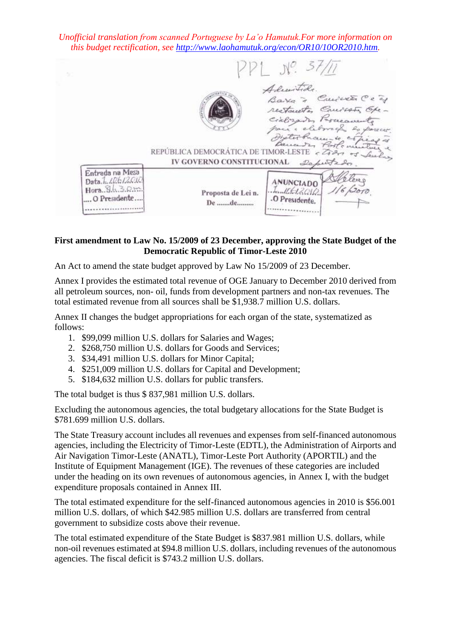*Unofficial translation from scanned Portuguese by La'o Hamutuk.For more information on this budget rectification, see [http://www.laohamutuk.org/econ/OR10/10OR2010.htm.](http://www.laohamutuk.org/econ/OR10/10OR2010.htm)*

 $N^2. 57/11$ Admitide Cuivet Ce as Bayo restaucto Causas Opeciclosados Porceaunte bargcer tex Proces- to REPÚBLICA DEMOCRÁTICA DE TIMOR-LESTE < 2027 05 IV GOVERNO CONSTITUCIONAL Deputtedo Entrada na Mesa Data.1.10612010 **ANUNCIADO**  $Hora. S.h. 3.R.m.$ . Inn It bet 2010. Proposta de Lei n. ...O Presidente... .O Presidente. De .......de......... ..................... . . . . . . . . . . . . . . . . .

## **First amendment to Law No. 15/2009 of 23 December, approving the State Budget of the Democratic Republic of Timor-Leste 2010**

An Act to amend the state budget approved by Law No 15/2009 of 23 December.

Annex I provides the estimated total revenue of OGE January to December 2010 derived from all petroleum sources, non- oil, funds from development partners and non-tax revenues. The total estimated revenue from all sources shall be \$1,938.7 million U.S. dollars.

Annex II changes the budget appropriations for each organ of the state, systematized as follows:

- 1. \$99,099 million U.S. dollars for Salaries and Wages;
- 2. \$268,750 million U.S. dollars for Goods and Services;
- 3. \$34,491 million U.S. dollars for Minor Capital;
- 4. \$251,009 million U.S. dollars for Capital and Development;
- 5. \$184,632 million U.S. dollars for public transfers.

The total budget is thus \$ 837,981 million U.S. dollars.

Excluding the autonomous agencies, the total budgetary allocations for the State Budget is \$781.699 million U.S. dollars.

The State Treasury account includes all revenues and expenses from self-financed autonomous agencies, including the Electricity of Timor-Leste (EDTL), the Administration of Airports and Air Navigation Timor-Leste (ANATL), Timor-Leste Port Authority (APORTIL) and the Institute of Equipment Management (IGE). The revenues of these categories are included under the heading on its own revenues of autonomous agencies, in Annex I, with the budget expenditure proposals contained in Annex III.

The total estimated expenditure for the self-financed autonomous agencies in 2010 is \$56.001 million U.S. dollars, of which \$42.985 million U.S. dollars are transferred from central government to subsidize costs above their revenue.

The total estimated expenditure of the State Budget is \$837.981 million U.S. dollars, while non-oil revenues estimated at \$94.8 million U.S. dollars, including revenues of the autonomous agencies. The fiscal deficit is \$743.2 million U.S. dollars.